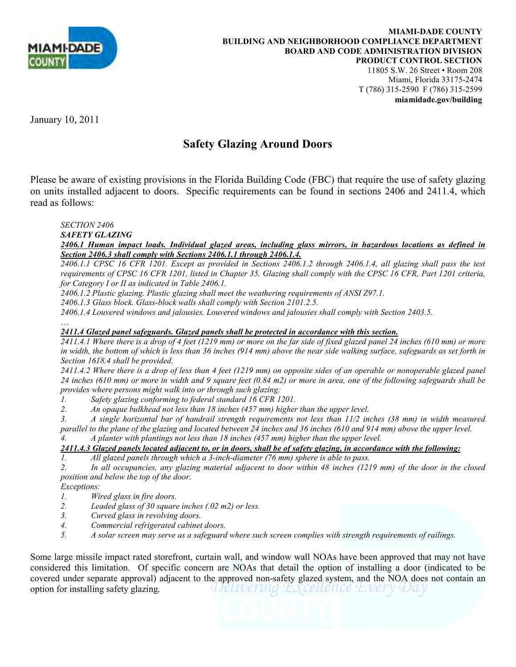

11805 S.W. 26 Street • Room 208 Miami, Florida 33175-2474 T (786) 315-2590 F (786) 315-2599 **miamidade.gov/building**

January 10, 2011

## **Safety Glazing Around Doors**

Please be aware of existing provisions in the Florida Building Code (FBC) that require the use of safety glazing on units installed adjacent to doors. Specific requirements can be found in sections 2406 and 2411.4, which read as follows:

*SECTION 2406* 

*SAFETY GLAZING* 

## *2406.1 Human impact loads. Individual glazed areas, including glass mirrors, in hazardous locations as defined in Section 2406.3 shall comply with Sections 2406.1.1 through 2406.1.4.*

*2406.1.1 CPSC 16 CFR 1201. Except as provided in Sections 2406.1.2 through 2406.1.4, all glazing shall pass the test requirements of CPSC 16 CFR 1201, listed in Chapter 35. Glazing shall comply with the CPSC 16 CFR, Part 1201 criteria, for Category I or II as indicated in Table 2406.1.* 

*2406.1.2 Plastic glazing. Plastic glazing shall meet the weathering requirements of ANSI Z97.1.* 

*2406.1.3 Glass block. Glass-block walls shall comply with Section 2101.2.5.* 

*2406.1.4 Louvered windows and jalousies. Louvered windows and jalousies shall comply with Section 2403.5.* 

…

## *2411.4 Glazed panel safeguards. Glazed panels shall be protected in accordance with this section.*

*2411.4.1 Where there is a drop of 4 feet (1219 mm) or more on the far side of fixed glazed panel 24 inches (610 mm) or more in width, the bottom of which is less than 36 inches (914 mm) above the near side walking surface, safeguards as set forth in Section 1618.4 shall be provided.* 

*2411.4.2 Where there is a drop of less than 4 feet (1219 mm) on opposite sides of an operable or nonoperable glazed panel 24 inches (610 mm) or more in width and 9 square feet (0.84 m2) or more in area, one of the following safeguards shall be provides where persons might walk into or through such glazing:* 

*1. Safety glazing conforming to federal standard 16 CFR 1201.* 

*2. An opaque bulkhead not less than 18 inches (457 mm) higher than the upper level.* 

*3. A single horizontal bar of handrail strength requirements not less than 11/2 inches (38 mm) in width measured parallel to the plane of the glazing and located between 24 inches and 36 inches (610 and 914 mm) above the upper level.* 

*4. A planter with plantings not less than 18 inches (457 mm) higher than the upper level.* 

## *2411.4.3 Glazed panels located adjacent to, or in doors, shall be of safety glazing, in accordance with the following:*

*1. All glazed panels through which a 3-inch-diameter (76 mm) sphere is able to pass.* 

*2. In all occupancies, any glazing material adjacent to door within 48 inches (1219 mm) of the door in the closed position and below the top of the door.* 

*Exceptions:* 

- *1. Wired glass in fire doors.*
- *2. Leaded glass of 30 square inches (.02 m2) or less.*
- *3. Curved glass in revolving doors.*
- *4. Commercial refrigerated cabinet doors.*
- *5. A solar screen may serve as a safeguard where such screen complies with strength requirements of railings.*

Some large missile impact rated storefront, curtain wall, and window wall NOAs have been approved that may not have considered this limitation. Of specific concern are NOAs that detail the option of installing a door (indicated to be covered under separate approval) adjacent to the approved non-safety glazed system, and the NOA does not contain an option for installing safety glazing. option for installing safety glazing.